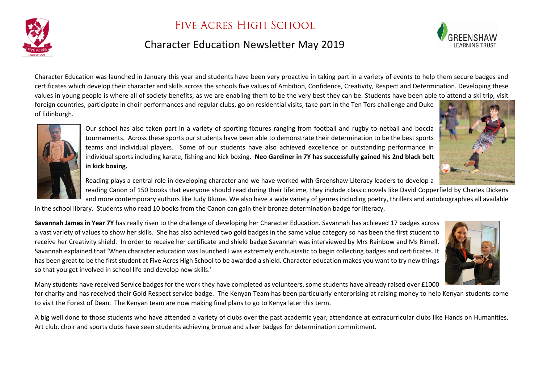

## FIVE ACRES HIGH SCHOOL

## Character Education Newsletter May 2019



Character Education was launched in January this year and students have been very proactive in taking part in a variety of events to help them secure badges and certificates which develop their character and skills across the schools five values of Ambition, Confidence, Creativity, Respect and Determination. Developing these values in young people is where all of society benefits, as we are enabling them to be the very best they can be. Students have been able to attend a ski trip, visit

foreign countries, participate in choir performances and regular clubs, go on residential visits, take part in the Ten Tors challenge and Duke of Edinburgh.



Our school has also taken part in a variety of sporting fixtures ranging from football and rugby to netball and boccia tournaments. Across these sports our students have been able to demonstrate their determination to be the best sports teams and individual players. Some of our students have also achieved excellence or outstanding performance in individual sports including karate, fishing and kick boxing. **Neo Gardiner in 7Y has successfully gained his 2nd black belt in kick boxing.**



Reading plays a central role in developing character and we have worked with Greenshaw Literacy leaders to develop a

reading Canon of 150 books that everyone should read during their lifetime, they include classic novels like David Copperfield by Charles Dickens and more contemporary authors like Judy Blume. We also have a wide variety of genres including poetry, thrillers and autobiographies all available in the school library. Students who read 10 books from the Canon can gain their bronze determination badge for literacy.

**Savannah James in Year 7Y** has really risen to the challenge of developing her Character Education. Savannah has achieved 17 badges across a vast variety of values to show her skills. She has also achieved two gold badges in the same value category so has been the first student to receive her Creativity shield. In order to receive her certificate and shield badge Savannah was interviewed by Mrs Rainbow and Ms Rimell, Savannah explained that 'When character education was launched I was extremely enthusiastic to begin collecting badges and certificates. It has been great to be the first student at Five Acres High School to be awarded a shield. Character education makes you want to try new things so that you get involved in school life and develop new skills.'



Many students have received Service badges for the work they have completed as volunteers, some students have already raised over £1000

for charity and has received their Gold Respect service badge. The Kenyan Team has been particularly enterprising at raising money to help Kenyan students come to visit the Forest of Dean. The Kenyan team are now making final plans to go to Kenya later this term.

A big well done to those students who have attended a variety of clubs over the past academic year, attendance at extracurricular clubs like Hands on Humanities, Art club, choir and sports clubs have seen students achieving bronze and silver badges for determination commitment.